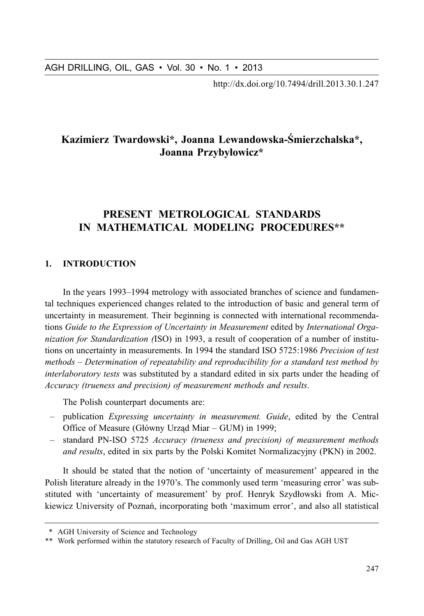http://dx.doi.org/10.7494/drill.2013.30.1.247

# Kazimierz Twardowski\*, Joanna Lewandowska-Śmierzchalska\*, Joanna Przybyłowicz\*

# PRESENT METROLOGICAL STANDARDS IN MATHEMATICAL MODELING PROCEDURES\*\*

#### $\mathbf{1}$ **INTRODUCTION**

In the years 1993–1994 metrology with associated branches of science and fundamental techniques experienced changes related to the introduction of basic and general term of uncertainty in measurement. Their beginning is connected with international recommendations Guide to the Expression of Uncertainty in Measurement edited by International Organization for Standardization (ISO) in 1993, a result of cooperation of a number of institutions on uncertainty in measurements. In 1994 the standard ISO 5725:1986 Precision of test methods – Determination of repeatability and reproducibility for a standard test method by *interlaboratory tests* was substituted by a standard edited in six parts under the heading of Accuracy (trueness and precision) of measurement methods and results.

The Polish counterpart documents are:

- publication *Expressing uncertainty in measurement. Guide*, edited by the Central Office of Measure (Główny Urząd Miar – GUM) in 1999;
- standard PN-ISO 5725 Accuracy (trueness and precision) of measurement methods *and results*, edited in six parts by the Polski Komitet Normalizacyjny (PKN) in 2002.

It should be stated that the notion of 'uncertainty of measurement' appeared in the Polish literature already in the 1970's. The commonly used term 'measuring error' was substituted with 'uncertainty of measurement' by prof. Henryk Szydłowski from A. Mickiewicz University of Poznań, incorporating both 'maximum error', and also all statistical

<sup>\*</sup> AGH University of Science and Technology

<sup>\*\*</sup> Work performed within the statutory research of Faculty of Drilling, Oil and Gas AGH UST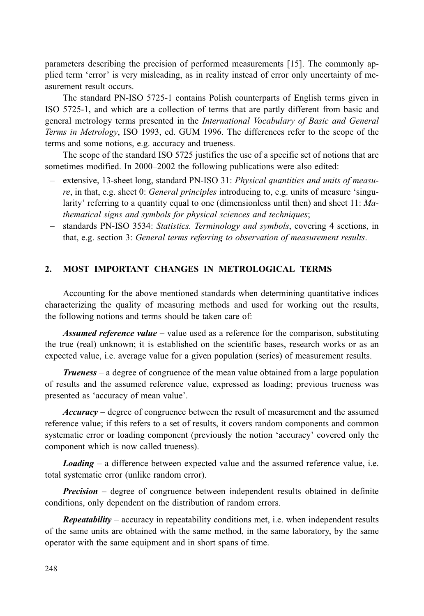parameters describing the precision of performed measurements [15]. The commonly applied term 'error' is very misleading, as in reality instead of error only uncertainty of measurement result occurs.

The standard PN-ISO 5725-1 contains Polish counterparts of English terms given in ISO 5725-1, and which are a collection of terms that are partly different from basic and general metrology terms presented in the *International Vocabulary of Basic and General* Terms in Metrology, ISO 1993, ed. GUM 1996. The differences refer to the scope of the terms and some notions, e.g. accuracy and trueness.

The scope of the standard ISO 5725 justifies the use of a specific set of notions that are sometimes modified. In 2000–2002 the following publications were also edited:

- extensive, 13-sheet long, standard PN-ISO 31: Physical quantities and units of measure, in that, e.g. sheet 0: General principles introducing to, e.g. units of measure 'singularity' referring to a quantity equal to one (dimensionless until then) and sheet  $11: Ma$ thematical signs and symbols for physical sciences and techniques;
- standards PN-ISO 3534: Statistics. Terminology and symbols, covering 4 sections, in that, e.g. section 3: General terms referring to observation of measurement results.

#### $2.$ MOST IMPORTANT CHANGES IN METROLOGICAL TERMS

Accounting for the above mentioned standards when determining quantitative indices characterizing the quality of measuring methods and used for working out the results, the following notions and terms should be taken care of:

**Assumed reference value** – value used as a reference for the comparison, substituting the true (real) unknown; it is established on the scientific bases, research works or as an expected value, i.e. average value for a given population (series) of measurement results.

**Trueness** – a degree of congruence of the mean value obtained from a large population of results and the assumed reference value, expressed as loading; previous trueness was presented as 'accuracy of mean value'.

*Accuracy* – degree of congruence between the result of measurement and the assumed reference value; if this refers to a set of results, it covers random components and common systematic error or loading component (previously the notion 'accuracy' covered only the component which is now called trueness).

**Loading** – a difference between expected value and the assumed reference value, i.e. total systematic error (unlike random error).

**Precision** – degree of congruence between independent results obtained in definite conditions, only dependent on the distribution of random errors.

**Repeatability** – accuracy in repeatability conditions met, i.e. when independent results of the same units are obtained with the same method, in the same laboratory, by the same operator with the same equipment and in short spans of time.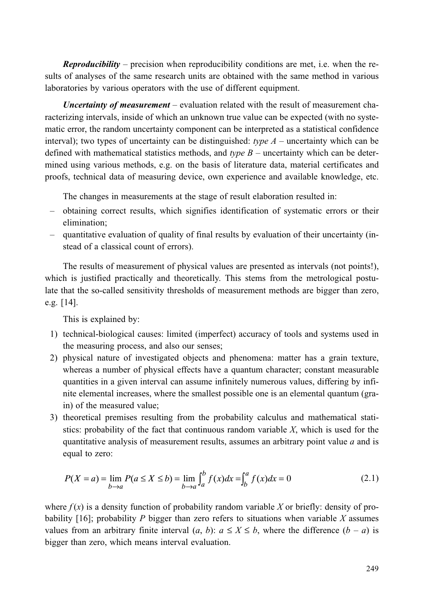**Reproducibility** – precision when reproducibility conditions are met, i.e. when the results of analyses of the same research units are obtained with the same method in various laboratories by various operators with the use of different equipment.

Uncertainty of measurement – evaluation related with the result of measurement characterizing intervals, inside of which an unknown true value can be expected (with no systematic error, the random uncertainty component can be interpreted as a statistical confidence interval); two types of uncertainty can be distinguished: type  $A$  – uncertainty which can be defined with mathematical statistics methods, and type  $B$  – uncertainty which can be determined using various methods, e.g. on the basis of literature data, material certificates and proofs, technical data of measuring device, own experience and available knowledge, etc.

The changes in measurements at the stage of result elaboration resulted in:

- obtaining correct results, which signifies identification of systematic errors or their elimination:
- quantitative evaluation of quality of final results by evaluation of their uncertainty (instead of a classical count of errors).

The results of measurement of physical values are presented as intervals (not points!), which is justified practically and theoretically. This stems from the metrological postulate that the so-called sensitivity thresholds of measurement methods are bigger than zero, e.g.  $[14]$ .

This is explained by:

- 1) technical-biological causes: limited (imperfect) accuracy of tools and systems used in the measuring process, and also our senses;
- 2) physical nature of investigated objects and phenomena: matter has a grain texture, whereas a number of physical effects have a quantum character; constant measurable quantities in a given interval can assume infinitely numerous values, differing by infinite elemental increases, where the smallest possible one is an elemental quantum (grain) of the measured value;
- 3) theoretical premises resulting from the probability calculus and mathematical statistics: probability of the fact that continuous random variable  $X$ , which is used for the quantitative analysis of measurement results, assumes an arbitrary point value  $a$  and is equal to zero:

$$
P(X = a) = \lim_{b \to a} P(a \le X \le b) = \lim_{b \to a} \int_{a}^{b} f(x)dx = \int_{b}^{a} f(x)dx = 0
$$
 (2.1)

where  $f(x)$  is a density function of probability random variable X or briefly: density of probability [16]; probability P bigger than zero refers to situations when variable X assumes values from an arbitrary finite interval  $(a, b)$ :  $a \le X \le b$ , where the difference  $(b - a)$  is bigger than zero, which means interval evaluation.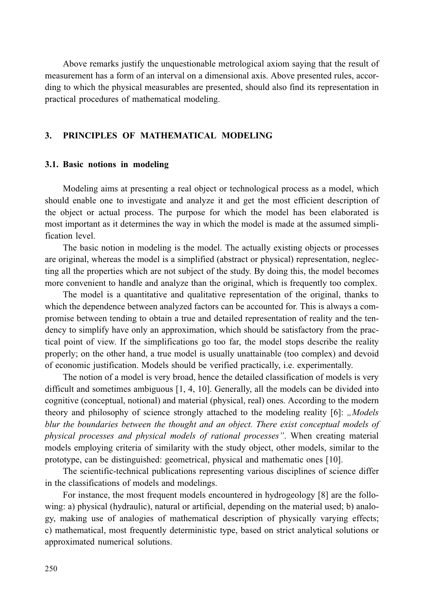Above remarks justify the unquestionable metrological axiom saying that the result of measurement has a form of an interval on a dimensional axis. Above presented rules, according to which the physical measurables are presented, should also find its representation in practical procedures of mathematical modeling.

#### $\overline{3}$ . PRINCIPLES OF MATHEMATICAL MODELING

### 3.1. Basic notions in modeling

Modeling aims at presenting a real object or technological process as a model, which should enable one to investigate and analyze it and get the most efficient description of the object or actual process. The purpose for which the model has been elaborated is most important as it determines the way in which the model is made at the assumed simplification level.

The basic notion in modeling is the model. The actually existing objects or processes are original, whereas the model is a simplified (abstract or physical) representation, neglecting all the properties which are not subject of the study. By doing this, the model becomes more convenient to handle and analyze than the original, which is frequently too complex.

The model is a quantitative and qualitative representation of the original, thanks to which the dependence between analyzed factors can be accounted for. This is always a compromise between tending to obtain a true and detailed representation of reality and the tendency to simplify have only an approximation, which should be satisfactory from the practical point of view. If the simplifications go too far, the model stops describe the reality properly; on the other hand, a true model is usually unattainable (too complex) and devoid of economic justification. Models should be verified practically, *i.e.* experimentally.

The notion of a model is very broad, hence the detailed classification of models is very difficult and sometimes ambiguous  $[1, 4, 10]$ . Generally, all the models can be divided into cognitive (conceptual, notional) and material (physical, real) ones. According to the modern theory and philosophy of science strongly attached to the modeling reality [6]: "Models blur the boundaries between the thought and an object. There exist conceptual models of physical processes and physical models of rational processes". When creating material models employing criteria of similarity with the study object, other models, similar to the prototype, can be distinguished: geometrical, physical and mathematic ones [10].

The scientific-technical publications representing various disciplines of science differ in the classifications of models and modelings.

For instance, the most frequent models encountered in hydrogeology [8] are the following: a) physical (hydraulic), natural or artificial, depending on the material used; b) analogy, making use of analogies of mathematical description of physically varying effects; c) mathematical, most frequently deterministic type, based on strict analytical solutions or approximated numerical solutions.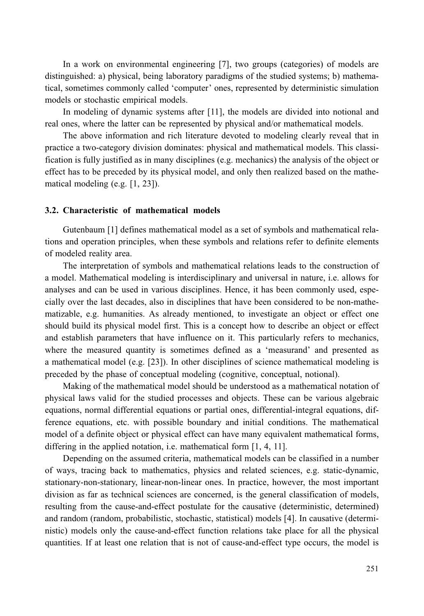In a work on environmental engineering [7], two groups (categories) of models are distinguished: a) physical, being laboratory paradigms of the studied systems; b) mathematical, sometimes commonly called 'computer' ones, represented by deterministic simulation models or stochastic empirical models.

In modeling of dynamic systems after [11], the models are divided into notional and real ones, where the latter can be represented by physical and/or mathematical models.

The above information and rich literature devoted to modeling clearly reveal that in practice a two-category division dominates: physical and mathematical models. This classification is fully justified as in many disciplines (e.g. mechanics) the analysis of the object or effect has to be preceded by its physical model, and only then realized based on the mathematical modeling (e.g.  $[1, 23]$ ).

### 3.2. Characteristic of mathematical models

Gutenbaum [1] defines mathematical model as a set of symbols and mathematical relations and operation principles, when these symbols and relations refer to definite elements of modeled reality area.

The interpretation of symbols and mathematical relations leads to the construction of a model. Mathematical modeling is interdisciplinary and universal in nature, i.e. allows for analyses and can be used in various disciplines. Hence, it has been commonly used, especially over the last decades, also in disciplines that have been considered to be non-mathematizable, e.g. humanities. As already mentioned, to investigate an object or effect one should build its physical model first. This is a concept how to describe an object or effect and establish parameters that have influence on it. This particularly refers to mechanics, where the measured quantity is sometimes defined as a 'measurand' and presented as a mathematical model (e.g. [23]). In other disciplines of science mathematical modeling is preceded by the phase of conceptual modeling (cognitive, conceptual, notional).

Making of the mathematical model should be understood as a mathematical notation of physical laws valid for the studied processes and objects. These can be various algebraic equations, normal differential equations or partial ones, differential-integral equations, difference equations, etc. with possible boundary and initial conditions. The mathematical model of a definite object or physical effect can have many equivalent mathematical forms, differing in the applied notation, i.e. mathematical form [1, 4, 11].

Depending on the assumed criteria, mathematical models can be classified in a number of ways, tracing back to mathematics, physics and related sciences, e.g. static-dynamic, stationary-non-stationary, linear-non-linear ones. In practice, however, the most important division as far as technical sciences are concerned, is the general classification of models, resulting from the cause-and-effect postulate for the causative (deterministic, determined) and random (random, probabilistic, stochastic, statistical) models [4]. In causative (deterministic) models only the cause-and-effect function relations take place for all the physical quantities. If at least one relation that is not of cause-and-effect type occurs, the model is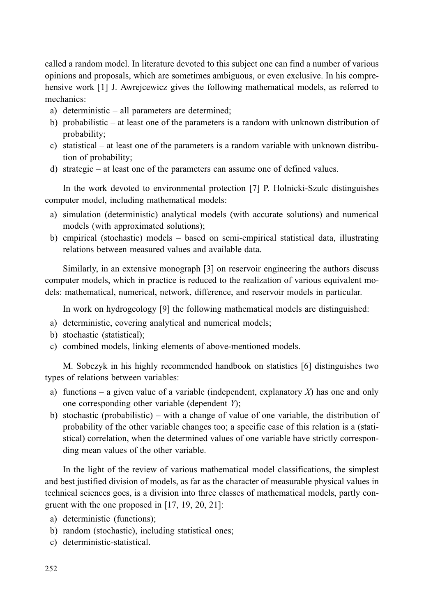called a random model. In literature devoted to this subject one can find a number of various opinions and proposals, which are sometimes ambiguous, or even exclusive. In his comprehensive work [1] J. Awrejcewicz gives the following mathematical models, as referred to mechanics<sup>.</sup>

- a) deterministic  $-$  all parameters are determined;
- b) probabilistic at least one of the parameters is a random with unknown distribution of probability;
- c) statistical at least one of the parameters is a random variable with unknown distribution of probability;
- d) strategic  $-$  at least one of the parameters can assume one of defined values.

In the work devoted to environmental protection [7] P. Holnicki-Szulc distinguishes computer model, including mathematical models:

- a) simulation (deterministic) analytical models (with accurate solutions) and numerical models (with approximated solutions);
- b) empirical (stochastic) models based on semi-empirical statistical data, illustrating relations between measured values and available data.

Similarly, in an extensive monograph [3] on reservoir engineering the authors discuss computer models, which in practice is reduced to the realization of various equivalent models: mathematical, numerical, network, difference, and reservoir models in particular.

In work on hydrogeology [9] the following mathematical models are distinguished:

- a) deterministic, covering analytical and numerical models;
- b) stochastic (statistical);
- c) combined models, linking elements of above-mentioned models.

M. Sobczyk in his highly recommended handbook on statistics [6] distinguishes two types of relations between variables:

- a) functions a given value of a variable (independent, explanatory  $X$ ) has one and only one corresponding other variable (dependent Y);
- b) stochastic (probabilistic) with a change of value of one variable, the distribution of probability of the other variable changes too; a specific case of this relation is a (statistical) correlation, when the determined values of one variable have strictly corresponding mean values of the other variable.

In the light of the review of various mathematical model classifications, the simplest and best justified division of models, as far as the character of measurable physical values in technical sciences goes, is a division into three classes of mathematical models, partly congruent with the one proposed in  $[17, 19, 20, 21]$ :

- a) deterministic (functions);
- b) random (stochastic), including statistical ones;
- c) deterministic-statistical.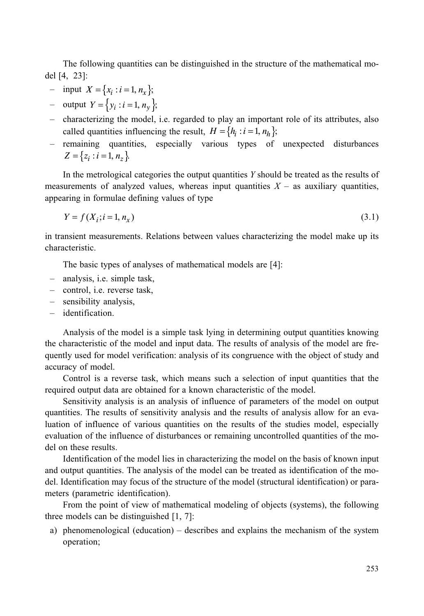The following quantities can be distinguished in the structure of the mathematical model [4, 23]:

- input  $X = \{x_i : i = 1, n_x\}$ ;
- output  $Y = \{y_i : i = 1, n_v\}$ ;
- characterizing the model, i.e. regarded to play an important role of its attributes, also called quantities influencing the result,  $H = \{h_i : i = 1, n_h\};$
- remaining quantities, especially various types of unexpected disturbances  $Z = \{z_i : i = 1, n_{\zeta}\}\.$

In the metrological categories the output quantities  $Y$  should be treated as the results of measurements of analyzed values, whereas input quantities  $X -$  as auxiliary quantities, appearing in formulae defining values of type

$$
Y = f(X_i; i = 1, n_X) \tag{3.1}
$$

in transient measurements. Relations between values characterizing the model make up its characteristic.

The basic types of analyses of mathematical models are [4]:

- analysis, i.e. simple task,
- control, i.e. reverse task,
- sensibility analysis,
- identification.

Analysis of the model is a simple task lying in determining output quantities knowing the characteristic of the model and input data. The results of analysis of the model are frequently used for model verification: analysis of its congruence with the object of study and accuracy of model.

Control is a reverse task, which means such a selection of input quantities that the required output data are obtained for a known characteristic of the model.

Sensitivity analysis is an analysis of influence of parameters of the model on output quantities. The results of sensitivity analysis and the results of analysis allow for an evaluation of influence of various quantities on the results of the studies model, especially evaluation of the influence of disturbances or remaining uncontrolled quantities of the model on these results.

Identification of the model lies in characterizing the model on the basis of known input and output quantities. The analysis of the model can be treated as identification of the model. Identification may focus of the structure of the model (structural identification) or parameters (parametric identification).

From the point of view of mathematical modeling of objects (systems), the following three models can be distinguished  $[1, 7]$ :

a) phenomenological (education) – describes and explains the mechanism of the system operation;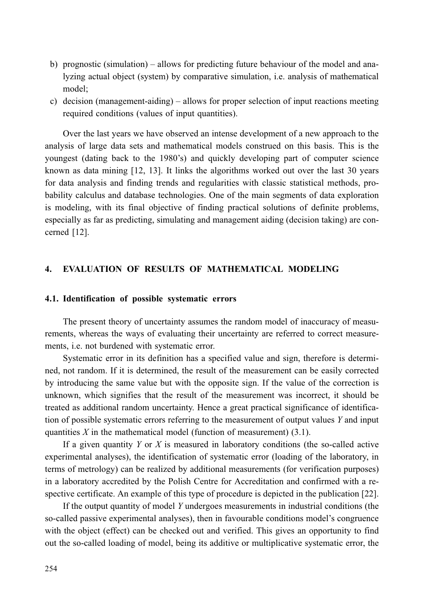- b) prognostic (simulation) allows for predicting future behaviour of the model and analyzing actual object (system) by comparative simulation, *i.e.* analysis of mathematical model;
- c) decision (management-aiding) allows for proper selection of input reactions meeting required conditions (values of input quantities).

Over the last years we have observed an intense development of a new approach to the analysis of large data sets and mathematical models construed on this basis. This is the youngest (dating back to the 1980's) and quickly developing part of computer science known as data mining [12, 13]. It links the algorithms worked out over the last 30 years for data analysis and finding trends and regularities with classic statistical methods, probability calculus and database technologies. One of the main segments of data exploration is modeling, with its final objective of finding practical solutions of definite problems, especially as far as predicting, simulating and management aiding (decision taking) are concerned [12].

#### $\overline{4}$ . **EVALUATION OF RESULTS OF MATHEMATICAL MODELING**

## 4.1. Identification of possible systematic errors

The present theory of uncertainty assumes the random model of inaccuracy of measurements, whereas the ways of evaluating their uncertainty are referred to correct measurements, i.e. not burdened with systematic error.

Systematic error in its definition has a specified value and sign, therefore is determined, not random. If it is determined, the result of the measurement can be easily corrected by introducing the same value but with the opposite sign. If the value of the correction is unknown, which signifies that the result of the measurement was incorrect, it should be treated as additional random uncertainty. Hence a great practical significance of identification of possible systematic errors referring to the measurement of output values  $Y$  and input quantities  $X$  in the mathematical model (function of measurement) (3.1).

If a given quantity  $Y$  or  $X$  is measured in laboratory conditions (the so-called active experimental analyses), the identification of systematic error (loading of the laboratory, in terms of metrology) can be realized by additional measurements (for verification purposes) in a laboratory accredited by the Polish Centre for Accreditation and confirmed with a respective certificate. An example of this type of procedure is depicted in the publication [22].

If the output quantity of model Y undergoes measurements in industrial conditions (the so-called passive experimental analyses), then in favourable conditions model's congruence with the object (effect) can be checked out and verified. This gives an opportunity to find out the so-called loading of model, being its additive or multiplicative systematic error, the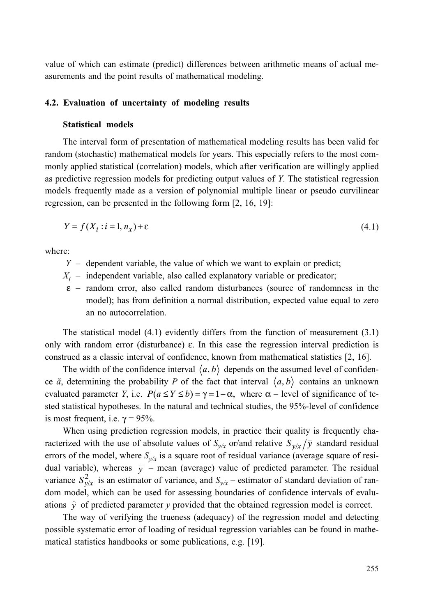value of which can estimate (predict) differences between arithmetic means of actual measurements and the point results of mathematical modeling.

## 4.2. Evaluation of uncertainty of modeling results

# **Statistical models**

The interval form of presentation of mathematical modeling results has been valid for random (stochastic) mathematical models for years. This especially refers to the most commonly applied statistical (correlation) models, which after verification are willingly applied as predictive regression models for predicting output values of Y. The statistical regression models frequently made as a version of polynomial multiple linear or pseudo curvilinear regression, can be presented in the following form  $[2, 16, 19]$ :

$$
Y = f(X_i : i = 1, n_x) + \varepsilon \tag{4.1}
$$

where<sup>.</sup>

- $Y -$  dependent variable, the value of which we want to explain or predict;
- $X_i$  independent variable, also called explanatory variable or predicator;
- $\epsilon$  random error, also called random disturbances (source of randomness in the model); has from definition a normal distribution, expected value equal to zero an no autocorrelation.

The statistical model  $(4.1)$  evidently differs from the function of measurement  $(3.1)$ only with random error (disturbance)  $\varepsilon$ . In this case the regression interval prediction is construed as a classic interval of confidence, known from mathematical statistics [2, 16].

The width of the confidence interval  $\langle a, b \rangle$  depends on the assumed level of confidence  $\check{a}$ , determining the probability P of the fact that interval  $\langle a, b \rangle$  contains an unknown evaluated parameter Y, i.e.  $P(a \le Y \le b) = \gamma = 1 - \alpha$ , where  $\alpha$  – level of significance of tested statistical hypotheses. In the natural and technical studies, the 95%-level of confidence is most frequent, i.e.  $\gamma = 95\%$ .

When using prediction regression models, in practice their quality is frequently characterized with the use of absolute values of  $S_{v/x}$  or/and relative  $S_{v/x}/\overline{y}$  standard residual errors of the model, where  $S_{v/x}$  is a square root of residual variance (average square of residual variable), whereas  $\bar{y}$  – mean (average) value of predicted parameter. The residual variance  $S_{v/x}^2$  is an estimator of variance, and  $S_{v/x}$  – estimator of standard deviation of random model, which can be used for assessing boundaries of confidence intervals of evaluations  $\hat{v}$  of predicted parameter y provided that the obtained regression model is correct.

The way of verifying the trueness (adequacy) of the regression model and detecting possible systematic error of loading of residual regression variables can be found in mathematical statistics handbooks or some publications, e.g. [19].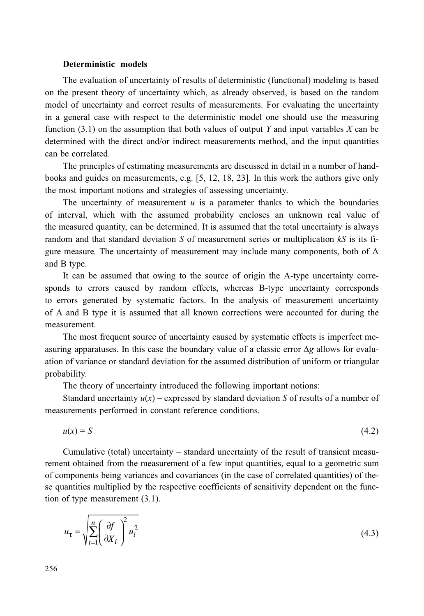### Deterministic models

The evaluation of uncertainty of results of deterministic (functional) modeling is based on the present theory of uncertainty which, as already observed, is based on the random model of uncertainty and correct results of measurements. For evaluating the uncertainty in a general case with respect to the deterministic model one should use the measuring function  $(3.1)$  on the assumption that both values of output Y and input variables X can be determined with the direct and/or indirect measurements method, and the input quantities can be correlated.

The principles of estimating measurements are discussed in detail in a number of handbooks and guides on measurements, e.g. [5, 12, 18, 23]. In this work the authors give only the most important notions and strategies of assessing uncertainty.

The uncertainty of measurement  $u$  is a parameter thanks to which the boundaries of interval, which with the assumed probability encloses an unknown real value of the measured quantity, can be determined. It is assumed that the total uncertainty is always random and that standard deviation S of measurement series or multiplication  $kS$  is its figure measure. The uncertainty of measurement may include many components, both of A and B type.

It can be assumed that owing to the source of origin the A-type uncertainty corresponds to errors caused by random effects, whereas B-type uncertainty corresponds to errors generated by systematic factors. In the analysis of measurement uncertainty of A and B type it is assumed that all known corrections were accounted for during the measurement

The most frequent source of uncertainty caused by systematic effects is imperfect measuring apparatuses. In this case the boundary value of a classic error  $\Delta g$  allows for evaluation of variance or standard deviation for the assumed distribution of uniform or triangular probability.

The theory of uncertainty introduced the following important notions:

Standard uncertainty  $u(x)$  – expressed by standard deviation S of results of a number of measurements performed in constant reference conditions.

$$
u(x) = S \tag{4.2}
$$

Cumulative (total) uncertainty – standard uncertainty of the result of transient measurement obtained from the measurement of a few input quantities, equal to a geometric sum of components being variances and covariances (in the case of correlated quantities) of these quantities multiplied by the respective coefficients of sensitivity dependent on the function of type measurement  $(3.1)$ .

$$
u_{\tau} = \sqrt{\sum_{i=1}^{n} \left(\frac{\partial f}{\partial X_i}\right)^2 u_i^2}
$$
 (4.3)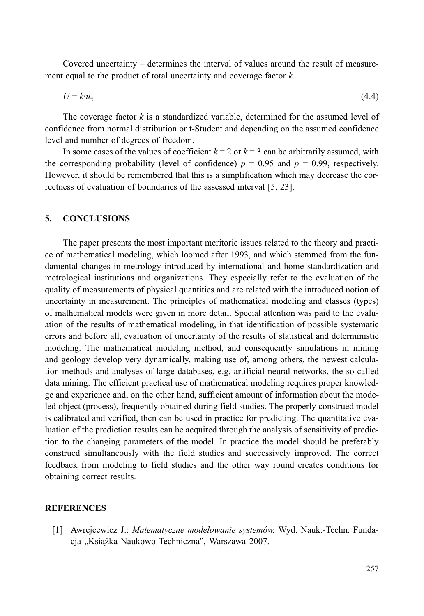Covered uncertainty – determines the interval of values around the result of measurement equal to the product of total uncertainty and coverage factor  $k$ .

$$
U = k \cdot u_{\tau} \tag{4.4}
$$

The coverage factor  $k$  is a standardized variable, determined for the assumed level of confidence from normal distribution or t-Student and depending on the assumed confidence level and number of degrees of freedom.

In some cases of the values of coefficient  $k = 2$  or  $k = 3$  can be arbitrarily assumed, with the corresponding probability (level of confidence)  $p = 0.95$  and  $p = 0.99$ , respectively. However, it should be remembered that this is a simplification which may decrease the correctness of evaluation of boundaries of the assessed interval [5, 23].

#### 5. **CONCLUSIONS**

The paper presents the most important meritoric issues related to the theory and practice of mathematical modeling, which loomed after 1993, and which stemmed from the fundamental changes in metrology introduced by international and home standardization and metrological institutions and organizations. They especially refer to the evaluation of the quality of measurements of physical quantities and are related with the introduced notion of uncertainty in measurement. The principles of mathematical modeling and classes (types) of mathematical models were given in more detail. Special attention was paid to the evaluation of the results of mathematical modeling, in that identification of possible systematic errors and before all, evaluation of uncertainty of the results of statistical and deterministic modeling. The mathematical modeling method, and consequently simulations in mining and geology develop very dynamically, making use of, among others, the newest calculation methods and analyses of large databases, e.g. artificial neural networks, the so-called data mining. The efficient practical use of mathematical modeling requires proper knowledge and experience and, on the other hand, sufficient amount of information about the modeled object (process), frequently obtained during field studies. The properly construed model is calibrated and verified, then can be used in practice for predicting. The quantitative evaluation of the prediction results can be acquired through the analysis of sensitivity of prediction to the changing parameters of the model. In practice the model should be preferably construed simultaneously with the field studies and successively improved. The correct feedback from modeling to field studies and the other way round creates conditions for obtaining correct results.

## **REFERENCES**

[1] Awrejcewicz J.: Matematyczne modelowanie systemów. Wyd. Nauk.-Techn. Fundacja "Książka Naukowo-Techniczna", Warszawa 2007.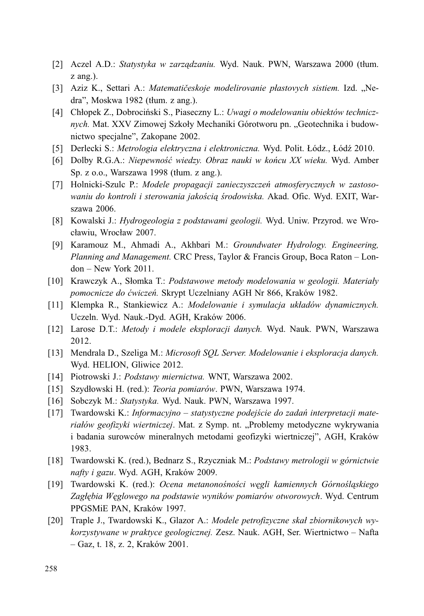- [2] Aczel A.D.: Statystyka w zarządzaniu. Wyd. Nauk. PWN, Warszawa 2000 (tłum.  $z$  ang.).
- [3] Aziz K., Settari A.: Matematičeskoje modelirovanie plastovych sistiem. Izd. "Nedra", Moskwa 1982 (tłum. z ang.).
- [4] Chłopek Z., Dobrociński S., Piaseczny L.: Uwagi o modelowaniu obiektów technicznych. Mat. XXV Zimowej Szkoły Mechaniki Górotworu pn. "Geotechnika i budownictwo specjalne", Zakopane 2002.
- [5] Derlecki S.: Metrologia elektryczna i elektroniczna. Wyd. Polit. Łódz., Łódź 2010.
- [6] Dolby R.G.A.: Niepewność wiedzy. Obraz nauki w końcu XX wieku. Wyd. Amber Sp. z o.o., Warszawa 1998 (tłum. z ang.).
- [7] Holnicki-Szulc P.: Modele propagacji zanieczyszczeń atmosferycznych w zastosowaniu do kontroli i sterowania jakościa środowiska. Akad. Ofic. Wyd. EXIT, Warszawa 2006.
- [8] Kowalski J.: Hydrogeologia z podstawami geologii. Wyd. Uniw. Przyrod. we Wrocławiu, Wrocław 2007.
- [9] Karamouz M., Ahmadi A., Akhbari M.: Groundwater Hydrology. Engineering, Planning and Management. CRC Press, Taylor & Francis Group, Boca Raton - Lon $don - New York 2011.$
- [10] Krawczyk A., Słomka T.: Podstawowe metody modelowania w geologii. Materiały pomocnicze do ćwiczeń. Skrypt Uczelniany AGH Nr 866, Kraków 1982.
- [11] Klempka R., Stankiewicz A.: Modelowanie i symulacja układów dynamicznych. Uczeln. Wyd. Nauk.-Dyd. AGH, Kraków 2006.
- [12] Larose D.T.: Metody i modele eksploracji danych. Wyd. Nauk. PWN, Warszawa 2012.
- [13] Mendrala D., Szeliga M.: Microsoft SOL Server. Modelowanie i eksploracja danych. Wyd. HELION, Gliwice 2012.
- [14] Piotrowski J.: Podstawy miernictwa. WNT, Warszawa 2002.
- [15] Szydłowski H. (red.): Teoria pomiarów. PWN, Warszawa 1974.
- [16] Sobczyk M.: Statystyka. Wyd. Nauk. PWN, Warszawa 1997.
- [17] Twardowski K.: Informacyjno statystyczne podejście do zadań interpretacji materiałów geofizyki wiertniczej. Mat. z Symp. nt. "Problemy metodyczne wykrywania i badania surowców mineralnych metodami geofizyki wiertniczej", AGH, Kraków 1983.
- [18] Twardowski K. (red.), Bednarz S., Rzyczniak M.: Podstawy metrologii w górnictwie nafty i gazu. Wyd. AGH, Kraków 2009.
- [19] Twardowski K. (red.): Ocena metanonośności węgli kamiennych Górnośląskiego Zagłębia Węglowego na podstawie wyników pomiarów otworowych. Wyd. Centrum PPGSMiE PAN, Kraków 1997.
- [20] Traple J., Twardowski K., Glazor A.: Modele petrofizyczne skał zbiornikowych wykorzystywane w praktyce geologicznej. Zesz. Nauk. AGH, Ser. Wiertnictwo – Nafta  $-Gaz, t. 18, z. 2, Kraków 2001.$